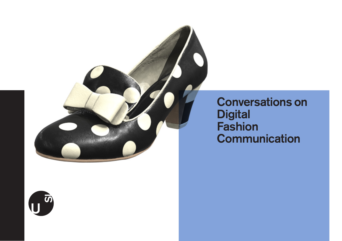

Conversations on **Digital Fashion Communication**